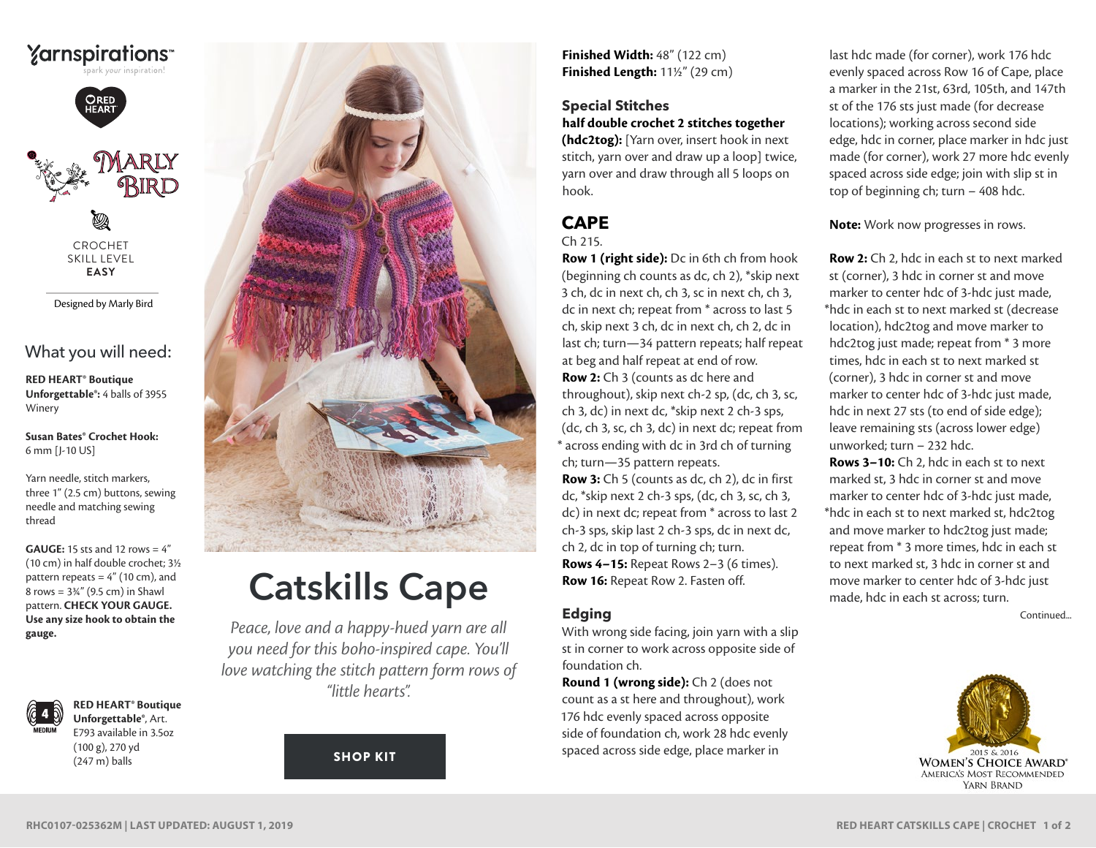



CROCHET SKILL LEVEL **EASY**

Designed by Marly Bird

## What you will need:

**RED HEART® Boutique Unforgettable®:** 4 balls of 3955 Winery

**Susan Bates® Crochet Hook:** 6 mm [J-10 US]

Yarn needle, stitch markers, three 1" (2.5 cm) buttons, sewing needle and matching sewing thread

**GAUGE:** 15 sts and 12 rows = 4" (10 cm) in half double crochet; 3½ pattern repeats  $= 4"$  (10 cm), and 8 rows =  $3\frac{3}{4}$ " (9.5 cm) in Shawl pattern. **CHECK YOUR GAUGE. Use any size hook to obtain the gauge.**



**RED HEART® Boutique Unforgettable®**, Art. E793 available in 3.5oz (100 g), 270 yd (247 m) balls



# Catskills Cape

*Peace, love and a happy-hued yarn are all you need for this boho-inspired cape. You'll love watching the stitch pattern form rows of "little hearts".*

[SHOP KIT](https://www.yarnspirations.com/red-heart-catskills-cape/RHC0107-025362M.html#utm_source=pdf-yarnspirations&utm_medium=referral&utm_campaign=pdf-RHC0107-025362M)

**Finished Width:** 48" (122 cm) **Finished Length:** 11½" (29 cm)

## **Special Stitches half double crochet 2 stitches together**

**(hdc2tog):** [Yarn over, insert hook in next stitch, yarn over and draw up a loop] twice, yarn over and draw through all 5 loops on hook.

#### **CAPE** Ch 215.

**Row 1 (right side):** Dc in 6th ch from hook (beginning ch counts as dc, ch 2), \*skip next 3 ch, dc in next ch, ch 3, sc in next ch, ch 3, dc in next ch; repeat from \* across to last 5 ch, skip next 3 ch, dc in next ch, ch 2, dc in last ch; turn—34 pattern repeats; half repeat at beg and half repeat at end of row. **Row 2:** Ch 3 (counts as dc here and throughout), skip next ch-2 sp, (dc, ch 3, sc, ch 3, dc) in next dc, \*skip next 2 ch-3 sps, (dc, ch 3, sc, ch 3, dc) in next dc; repeat from \* across ending with dc in 3rd ch of turning ch; turn—35 pattern repeats.

**Row 3:** Ch 5 (counts as dc, ch 2), dc in first dc, \*skip next 2 ch-3 sps, (dc, ch 3, sc, ch 3, dc) in next dc; repeat from \* across to last 2 ch-3 sps, skip last 2 ch-3 sps, dc in next dc, ch 2, dc in top of turning ch; turn. **Rows 4–15:** Repeat Rows 2–3 (6 times). **Row 16:** Repeat Row 2. Fasten off.

## **Edging**

With wrong side facing, join yarn with a slip st in corner to work across opposite side of foundation ch.

**Round 1 (wrong side):** Ch 2 (does not count as a st here and throughout), work 176 hdc evenly spaced across opposite side of foundation ch, work 28 hdc evenly spaced across side edge, place marker in

last hdc made (for corner), work 176 hdc evenly spaced across Row 16 of Cape, place a marker in the 21st, 63rd, 105th, and 147th st of the 176 sts just made (for decrease locations); working across second side edge, hdc in corner, place marker in hdc just made (for corner), work 27 more hdc evenly spaced across side edge; join with slip st in top of beginning ch; turn – 408 hdc.

**Note:** Work now progresses in rows.

**Row 2:** Ch 2, hdc in each st to next marked st (corner), 3 hdc in corner st and move marker to center hdc of 3-hdc just made, \*hdc in each st to next marked st (decrease location), hdc2tog and move marker to hdc2tog just made; repeat from \* 3 more times, hdc in each st to next marked st (corner), 3 hdc in corner st and move marker to center hdc of 3-hdc just made, hdc in next 27 sts (to end of side edge); leave remaining sts (across lower edge) unworked; turn – 232 hdc.

**Rows 3–10:** Ch 2, hdc in each st to next marked st, 3 hdc in corner st and move marker to center hdc of 3-hdc just made, \*hdc in each st to next marked st, hdc2tog and move marker to hdc2tog just made; repeat from \* 3 more times, hdc in each st to next marked st, 3 hdc in corner st and move marker to center hdc of 3-hdc just made, hdc in each st across; turn.

Continued...